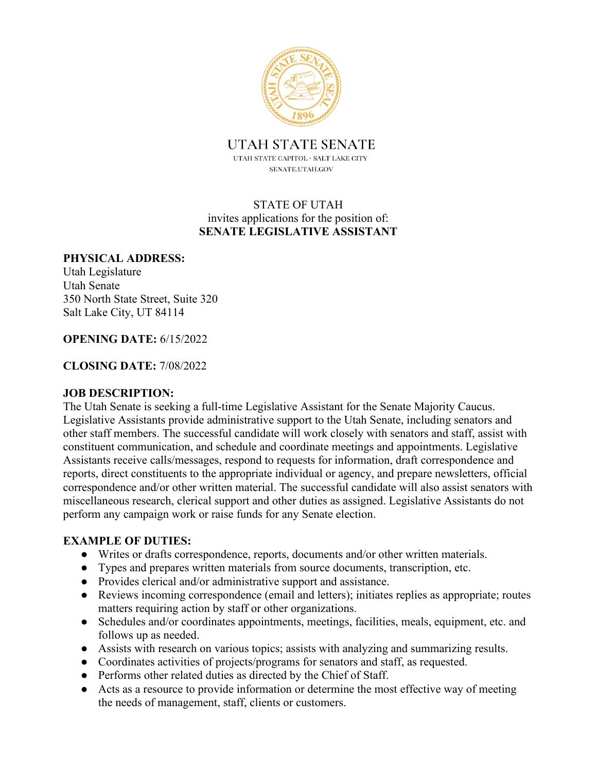

**UTAH STATE SENATE** UTAH STATE CAPITOL  $\cdot$  SALT LAKE CITY SENATE.UTAH.GOV

## STATE OF UTAH invites applications for the position of: **SENATE LEGISLATIVE ASSISTANT**

#### **PHYSICAL ADDRESS:**

Utah Legislature Utah Senate 350 North State Street, Suite 320 Salt Lake City, UT 84114

#### **OPENING DATE:** 6/15/2022

#### **CLOSING DATE:** 7/08/2022

#### **JOB DESCRIPTION:**

The Utah Senate is seeking a full-time Legislative Assistant for the Senate Majority Caucus. Legislative Assistants provide administrative support to the Utah Senate, including senators and other staff members. The successful candidate will work closely with senators and staff, assist with constituent communication, and schedule and coordinate meetings and appointments. Legislative Assistants receive calls/messages, respond to requests for information, draft correspondence and reports, direct constituents to the appropriate individual or agency, and prepare newsletters, official correspondence and/or other written material. The successful candidate will also assist senators with miscellaneous research, clerical support and other duties as assigned. Legislative Assistants do not perform any campaign work or raise funds for any Senate election.

### **EXAMPLE OF DUTIES:**

- Writes or drafts correspondence, reports, documents and/or other written materials.
- Types and prepares written materials from source documents, transcription, etc.
- Provides clerical and/or administrative support and assistance.
- Reviews incoming correspondence (email and letters); initiates replies as appropriate; routes matters requiring action by staff or other organizations.
- Schedules and/or coordinates appointments, meetings, facilities, meals, equipment, etc. and follows up as needed.
- Assists with research on various topics; assists with analyzing and summarizing results.
- Coordinates activities of projects/programs for senators and staff, as requested.
- Performs other related duties as directed by the Chief of Staff.
- Acts as a resource to provide information or determine the most effective way of meeting the needs of management, staff, clients or customers.